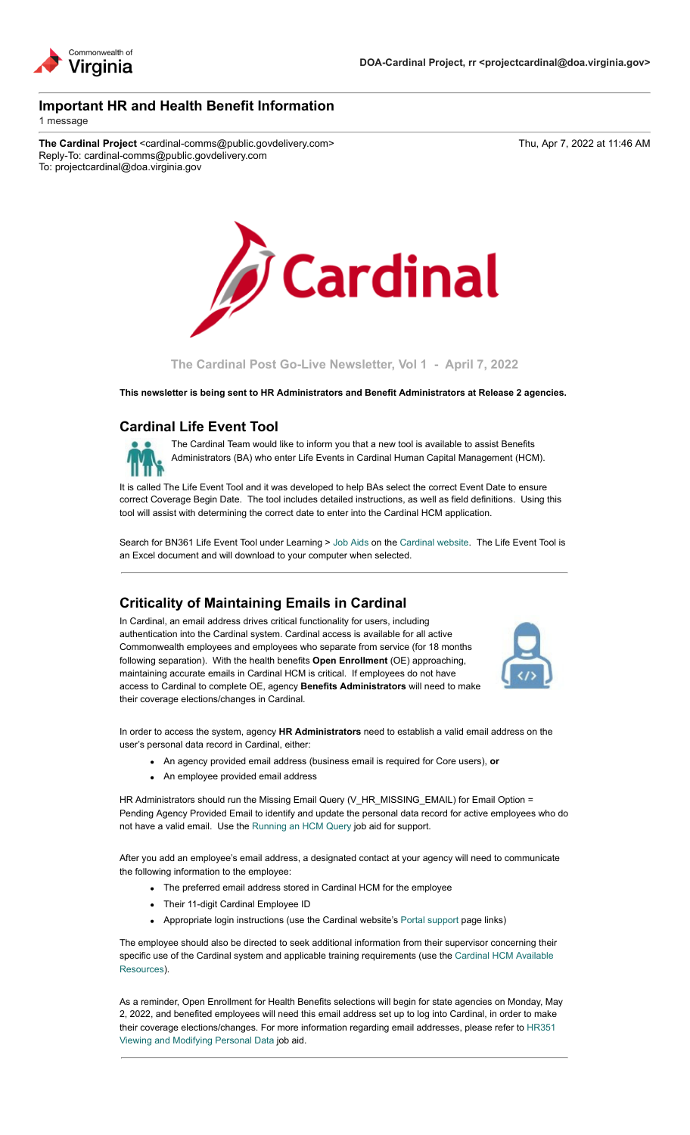

# **Important HR and Health Benefit Information**

1 message

The Cardinal Project <cardinal-comms@public.govdelivery.com> Thu, Apr 7, 2022 at 11:46 AM Reply-To: cardinal-comms@public.govdelivery.com To: projectcardinal@doa.virginia.gov



**The Cardinal Post Go-Live Newsletter, Vol 1 - April 7, 2022**

**This newsletter is being sent to HR Administrators and Benefit Administrators at Release 2 agencies.**

### **Cardinal Life Event Tool**



The Cardinal Team would like to inform you that a new tool is available to assist Benefits Administrators (BA) who enter Life Events in Cardinal Human Capital Management (HCM).

It is called The Life Event Tool and it was developed to help BAs select the correct Event Date to ensure correct Coverage Begin Date. The tool includes detailed instructions, as well as field definitions. Using this tool will assist with determining the correct date to enter into the Cardinal HCM application.

Search for BN361 Life Event Tool under Learning > [Job Aids](https://lnks.gd/l/eyJhbGciOiJIUzI1NiJ9.eyJidWxsZXRpbl9saW5rX2lkIjoxMDAsInVyaSI6ImJwMjpjbGljayIsImJ1bGxldGluX2lkIjoiMjAyMjA0MDcuNTYwNzk0MzEiLCJ1cmwiOiJodHRwczovL3d3dy5jYXJkaW5hbHByb2plY3QudmlyZ2luaWEuZ292L2pvYi1haWRzIn0.c1uSU3TtvhnsvXPQhyyO2MMwZDLXSEzkRW9JGgOOYgM/s/2164139144/br/129494643866-l) on the [Cardinal website.](https://lnks.gd/l/eyJhbGciOiJIUzI1NiJ9.eyJidWxsZXRpbl9saW5rX2lkIjoxMDEsInVyaSI6ImJwMjpjbGljayIsImJ1bGxldGluX2lkIjoiMjAyMjA0MDcuNTYwNzk0MzEiLCJ1cmwiOiJodHRwczovL3d3dy5jYXJkaW5hbHByb2plY3QudmlyZ2luaWEuZ292LyJ9.pZB_NGJek_BGVYGWyZlMSRawJxJuBNal67c4IG3QbTc/s/2164139144/br/129494643866-l) The Life Event Tool is an Excel document and will download to your computer when selected.

# **Criticality of Maintaining Emails in Cardinal**

In Cardinal, an email address drives critical functionality for users, including authentication into the Cardinal system. Cardinal access is available for all active Commonwealth employees and employees who separate from service (for 18 months following separation). With the health benefits **Open Enrollment** (OE) approaching, maintaining accurate emails in Cardinal HCM is critical. If employees do not have access to Cardinal to complete OE, agency **Benefits Administrators** will need to make their coverage elections/changes in Cardinal.



In order to access the system, agency **HR Administrators** need to establish a valid email address on the user's personal data record in Cardinal, either:

- An agency provided email address (business email is required for Core users), **or**
- An employee provided email address

HR Administrators should run the Missing Email Query (V\_HR\_MISSING\_EMAIL) for Email Option = Pending Agency Provided Email to identify and update the personal data record for active employees who do not have a valid email. Use the [Running an HCM Query](https://lnks.gd/l/eyJhbGciOiJIUzI1NiJ9.eyJidWxsZXRpbl9saW5rX2lkIjoxMDIsInVyaSI6ImJwMjpjbGljayIsImJ1bGxldGluX2lkIjoiMjAyMjA0MDcuNTYwNzk0MzEiLCJ1cmwiOiJodHRwczovL3d3dy5jYXJkaW5hbHByb2plY3QudmlyZ2luaWEuZ292L3NpdGVzL2RlZmF1bHQvZmlsZXMvMjAyMi0wMy9OQVYyMjUlMjBSdW5uaW5nJTIwYW4lMjBIQ00lMjBRdWVyeS5wZGYifQ.m3tWLYsml2HcY9gahM8i2h4C-yEN6rotYZzKd2GySXg/s/2164139144/br/129494643866-l) job aid for support.

After you add an employee's email address, a designated contact at your agency will need to communicate the following information to the employee:

- The preferred email address stored in Cardinal HCM for the employee
- Their 11-digit Cardinal Employee ID
- Appropriate login instructions (use the Cardinal website's [Portal support](https://lnks.gd/l/eyJhbGciOiJIUzI1NiJ9.eyJidWxsZXRpbl9saW5rX2lkIjoxMDMsInVyaSI6ImJwMjpjbGljayIsImJ1bGxldGluX2lkIjoiMjAyMjA0MDcuNTYwNzk0MzEiLCJ1cmwiOiJodHRwczovL3d3dy5jYXJkaW5hbHByb2plY3QudmlyZ2luaWEuZ292L3BvcnRhbC8ifQ.yqFyVmONizD-zCgjmYMIC0Fv5leZxEokl4FhiV1il4o/s/2164139144/br/129494643866-l) page links)

The employee should also be directed to seek additional information from their supervisor concerning their [specific use of the Cardinal system and applicable training requirements \(use the Cardinal HCM Available](https://lnks.gd/l/eyJhbGciOiJIUzI1NiJ9.eyJidWxsZXRpbl9saW5rX2lkIjoxMDQsInVyaSI6ImJwMjpjbGljayIsImJ1bGxldGluX2lkIjoiMjAyMjA0MDcuNTYwNzk0MzEiLCJ1cmwiOiJodHRwczovL2NhcmRpbmFscHJvamVjdC52aXJnaW5pYS5nb3Yvc2l0ZXMvZGVmYXVsdC9maWxlcy8yMDIyLTA0L0NhcmRpbmFsX0hDTV9BdmFpbGFibGVSZXNvdXJjZXMucGRmIn0.bKR8x9UgHPNjB2IxeKTV6POmo8zU_Y-bnUnE97Naxdo/s/2164139144/br/129494643866-l) Resources).

As a reminder, Open Enrollment for Health Benefits selections will begin for state agencies on Monday, May 2, 2022, and benefited employees will need this email address set up to log into Cardinal, in order to make [their coverage elections/changes. For more information regarding email addresses, please refer to HR351](https://lnks.gd/l/eyJhbGciOiJIUzI1NiJ9.eyJidWxsZXRpbl9saW5rX2lkIjoxMDUsInVyaSI6ImJwMjpjbGljayIsImJ1bGxldGluX2lkIjoiMjAyMjA0MDcuNTYwNzk0MzEiLCJ1cmwiOiJodHRwczovL3d3dy5jYXJkaW5hbHByb2plY3QudmlyZ2luaWEuZ292L3NpdGVzL2RlZmF1bHQvZmlsZXMvMjAyMi0wMy9IUjM1MSUyMFZpZXdpbmclMjBhbmQlMjBNb2RpZnlpbmclMjBQZXJzb25hbCUyMERhdGEucGRmIn0.7VOEcYpeh5rodRpaLrtCw5-L34ZQamAAkEo3xiH8i2I/s/2164139144/br/129494643866-l) Viewing and Modifying Personal Data job aid.